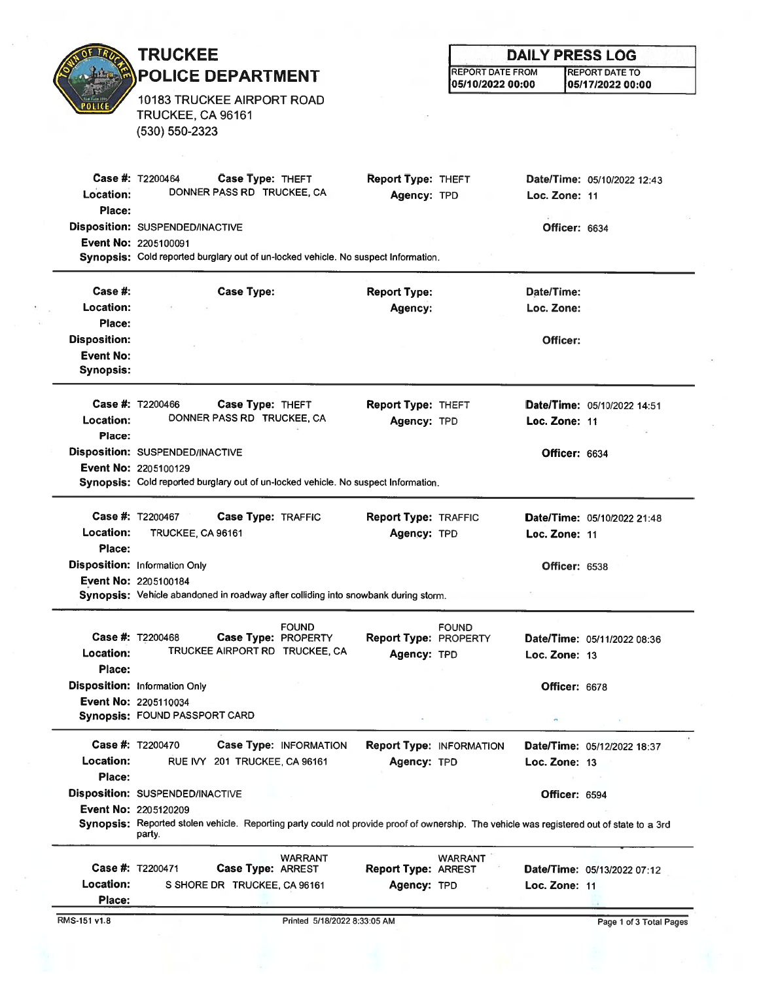|                     | <b>TRUCKEE</b>                                                                                                                                                           |                        |                                 | <b>DAILY PRESS LOG</b>  |                      |                             |  |
|---------------------|--------------------------------------------------------------------------------------------------------------------------------------------------------------------------|------------------------|---------------------------------|-------------------------|----------------------|-----------------------------|--|
|                     | <b>POLICE DEPARTMENT</b>                                                                                                                                                 |                        |                                 | <b>REPORT DATE FROM</b> |                      | <b>REPORT DATE TO</b>       |  |
|                     |                                                                                                                                                                          |                        |                                 | 05/10/2022 00:00        |                      | 05/17/2022 00:00            |  |
|                     | 10183 TRUCKEE AIRPORT ROAD<br>TRUCKEE, CA 96161                                                                                                                          |                        |                                 |                         |                      |                             |  |
|                     | $(530) 550 - 2323$                                                                                                                                                       |                        |                                 |                         |                      |                             |  |
|                     |                                                                                                                                                                          |                        |                                 |                         |                      |                             |  |
|                     |                                                                                                                                                                          |                        |                                 |                         |                      |                             |  |
|                     | Case #: T2200464<br>Case Type: THEFT<br>DONNER PASS RD TRUCKEE, CA                                                                                                       |                        | <b>Report Type: THEFT</b>       |                         |                      | Date/Time: 05/10/2022 12:43 |  |
| Location:<br>Place: |                                                                                                                                                                          |                        | Agency: TPD                     |                         | Loc. Zone: 11        |                             |  |
|                     | Disposition: SUSPENDED/INACTIVE                                                                                                                                          |                        |                                 |                         | Officer: 6634        |                             |  |
|                     | <b>Event No: 2205100091</b>                                                                                                                                              |                        |                                 |                         |                      |                             |  |
|                     | Synopsis: Cold reported burglary out of un-locked vehicle. No suspect Information.                                                                                       |                        |                                 |                         |                      |                             |  |
| Case  #:            | <b>Case Type:</b>                                                                                                                                                        |                        | <b>Report Type:</b>             |                         | Date/Time:           |                             |  |
| Location:           |                                                                                                                                                                          |                        | Agency:                         |                         | Loc. Zone:           |                             |  |
| Place:              |                                                                                                                                                                          |                        |                                 |                         |                      |                             |  |
| <b>Disposition:</b> |                                                                                                                                                                          |                        |                                 |                         | Officer:             |                             |  |
| <b>Event No:</b>    |                                                                                                                                                                          |                        |                                 |                         |                      |                             |  |
| <b>Synopsis:</b>    |                                                                                                                                                                          |                        |                                 |                         |                      |                             |  |
|                     | <b>Case #: T2200466</b><br>Case Type: THEFT                                                                                                                              |                        | <b>Report Type: THEFT</b>       |                         |                      | Date/Time: 05/10/2022 14:51 |  |
| Location:           | DONNER PASS RD TRUCKEE, CA                                                                                                                                               |                        | Agency: TPD                     |                         | Loc. Zone: 11        |                             |  |
| Place:              |                                                                                                                                                                          |                        |                                 |                         |                      |                             |  |
|                     | <b>Disposition: SUSPENDED/INACTIVE</b>                                                                                                                                   |                        |                                 |                         | <b>Officer: 6634</b> |                             |  |
|                     | <b>Event No: 2205100129</b><br>Synopsis: Cold reported burglary out of un-locked vehicle. No suspect Information.                                                        |                        |                                 |                         |                      |                             |  |
|                     |                                                                                                                                                                          |                        |                                 |                         |                      |                             |  |
|                     | <b>Case #: T2200467</b><br>Case Type: TRAFFIC                                                                                                                            |                        | <b>Report Type: TRAFFIC</b>     |                         |                      | Date/Time: 05/10/2022 21:48 |  |
| <b>Location:</b>    | TRUCKEE, CA 96161                                                                                                                                                        |                        | Agency: TPD                     |                         | Loc. Zone: 11        |                             |  |
| Place:              |                                                                                                                                                                          |                        |                                 |                         |                      |                             |  |
|                     | <b>Disposition:</b> Information Only<br>Event No: 2205100184                                                                                                             |                        |                                 |                         | <b>Officer: 6538</b> |                             |  |
|                     | Synopsis: Vehicle abandoned in roadway after colliding into snowbank during storm.                                                                                       |                        |                                 |                         |                      |                             |  |
|                     |                                                                                                                                                                          |                        |                                 |                         |                      |                             |  |
|                     | <b>Case #: <math>T2200468</math></b><br>Case Type: PROPERTY                                                                                                              | <b>FOUND</b>           | <b>Report Type: PROPERTY</b>    | <b>FOUND</b>            |                      | Date/Time: 05/11/2022 08:36 |  |
| Location:           | TRUCKEE AIRPORT RD TRUCKEE, CA                                                                                                                                           |                        | Agency: TPD                     |                         | Loc. Zone: 13        |                             |  |
| Place:              |                                                                                                                                                                          |                        |                                 |                         |                      |                             |  |
|                     | <b>Disposition: Information Only</b><br>Event No: 2205110034                                                                                                             |                        |                                 |                         | Officer: 6678        |                             |  |
|                     | <b>Synopsis: FOUND PASSPORT CARD</b>                                                                                                                                     |                        |                                 |                         |                      |                             |  |
|                     | <b>Case #: T2200470</b>                                                                                                                                                  | Case Type: INFORMATION | <b>Report Type: INFORMATION</b> |                         |                      | Date/Time: 05/12/2022 18:37 |  |
| <b>Location:</b>    | RUE IVY 201 TRUCKEE, CA 96161                                                                                                                                            |                        | Agency: TPD                     |                         | Loc. Zone: 13        |                             |  |
| Place:              |                                                                                                                                                                          |                        |                                 |                         |                      |                             |  |
|                     | Disposition: SUSPENDED/INACTIVE                                                                                                                                          |                        |                                 |                         | <b>Officer: 6594</b> |                             |  |
|                     | <b>Event No: 2205120209</b><br>Synopsis: Reported stolen vehicle. Reporting party could not provide proof of ownership. The vehicle was registered out of state to a 3rd |                        |                                 |                         |                      |                             |  |
|                     | party.                                                                                                                                                                   |                        |                                 |                         |                      |                             |  |
|                     |                                                                                                                                                                          | <b>WARRANT</b>         |                                 | <b>WARRANT</b>          |                      |                             |  |
|                     | Case #: T2200471<br>Case Type: ARREST                                                                                                                                    |                        | <b>Report Type: ARREST</b>      |                         |                      | Date/Time: 05/13/2022 07:12 |  |
| Location:<br>Place: | S SHORE DR TRUCKEE, CA 96161                                                                                                                                             |                        | Agency: TPD                     |                         | Loc. Zone: 11        |                             |  |
|                     |                                                                                                                                                                          |                        |                                 |                         |                      |                             |  |

 $\mathbf{R}$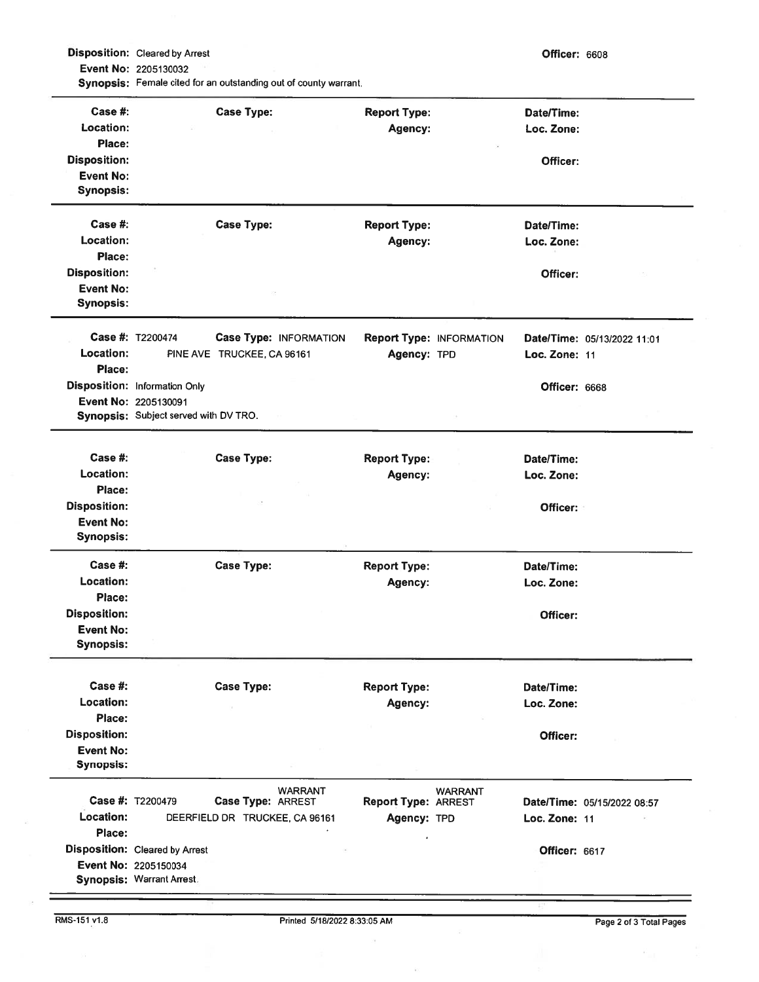Disposition: Cleared by Arrest **Contract Contract Contract Contract Contract Contract Contract Contract Contract Contract Contract Contract Contract Contract Contract Contract Contract Contract Contract Contract Contract C** Event No: 2205130032 Synopsis: Female cited for an outstanding out of county warrant.

| Case #:             |                                                               | <b>Case Type:</b>          |                                | <b>Report Type:</b>            |                                 | Date/Time:    |                             |
|---------------------|---------------------------------------------------------------|----------------------------|--------------------------------|--------------------------------|---------------------------------|---------------|-----------------------------|
| Location:<br>Place: |                                                               |                            |                                | Agency:                        |                                 | Loc. Zone:    |                             |
| <b>Disposition:</b> |                                                               |                            |                                |                                |                                 | Officer:      |                             |
| <b>Event No:</b>    |                                                               |                            |                                |                                |                                 |               |                             |
| <b>Synopsis:</b>    |                                                               |                            |                                |                                |                                 |               |                             |
| Case #:             |                                                               | <b>Case Type:</b>          |                                | <b>Report Type:</b>            |                                 | Date/Time:    |                             |
| Location:           |                                                               |                            |                                | Agency:                        |                                 | Loc. Zone:    |                             |
| Place:              |                                                               |                            |                                |                                |                                 |               |                             |
| <b>Disposition:</b> |                                                               |                            |                                |                                |                                 | Officer:      |                             |
| <b>Event No:</b>    |                                                               |                            |                                |                                |                                 |               |                             |
| <b>Synopsis:</b>    |                                                               |                            |                                |                                |                                 |               |                             |
|                     | Case #: T2200474                                              |                            | Case Type: INFORMATION         |                                | <b>Report Type: INFORMATION</b> |               | Date/Time: 05/13/2022 11:01 |
| Location:           |                                                               | PINE AVE TRUCKEE, CA 96161 |                                | Agency: TPD                    |                                 | Loc. Zone: 11 |                             |
| Place:              |                                                               |                            |                                |                                |                                 |               |                             |
|                     | <b>Disposition: Information Only</b>                          |                            |                                |                                |                                 | Officer: 6668 |                             |
|                     | Event No: 2205130091                                          |                            |                                |                                |                                 |               |                             |
|                     | Synopsis: Subject served with DV TRO.                         |                            |                                |                                |                                 |               |                             |
| Case  #:            |                                                               | <b>Case Type:</b>          |                                |                                |                                 | Date/Time:    |                             |
| Location:           |                                                               |                            |                                | <b>Report Type:</b><br>Agency: |                                 | Loc. Zone:    |                             |
| Place:              |                                                               |                            |                                |                                |                                 |               |                             |
| <b>Disposition:</b> |                                                               |                            |                                |                                |                                 | Officer:      |                             |
| <b>Event No:</b>    |                                                               |                            |                                |                                |                                 |               |                             |
| <b>Synopsis:</b>    |                                                               |                            |                                |                                |                                 |               |                             |
| Case #:             |                                                               | <b>Case Type:</b>          |                                | <b>Report Type:</b>            |                                 | Date/Time:    |                             |
| Location:           |                                                               |                            |                                | Agency:                        |                                 | Loc. Zone:    |                             |
| Place:              |                                                               |                            |                                |                                |                                 |               |                             |
| <b>Disposition:</b> |                                                               |                            |                                |                                |                                 | Officer:      |                             |
| <b>Event No:</b>    |                                                               |                            |                                |                                |                                 |               |                             |
| <b>Synopsis:</b>    |                                                               |                            |                                |                                |                                 |               |                             |
| Case #:             |                                                               | <b>Case Type:</b>          |                                | <b>Report Type:</b>            |                                 | Date/Time:    |                             |
| Location:           |                                                               |                            |                                | Agency:                        |                                 | Loc. Zone:    |                             |
| Place:              |                                                               |                            |                                |                                |                                 |               |                             |
| <b>Disposition:</b> |                                                               |                            |                                |                                |                                 | Officer:      |                             |
| <b>Event No:</b>    |                                                               |                            |                                |                                |                                 |               |                             |
| <b>Synopsis:</b>    |                                                               |                            |                                |                                |                                 |               |                             |
|                     | Case #: T2200479                                              | Case Type: ARREST          | <b>WARRANT</b>                 | <b>Report Type: ARREST</b>     | <b>WARRANT</b>                  |               | Date/Time: 05/15/2022 08:57 |
| Location:           |                                                               |                            | DEERFIELD DR TRUCKEE, CA 96161 | Agency: TPD                    |                                 | Loc. Zone: 11 |                             |
|                     |                                                               |                            |                                |                                |                                 |               |                             |
|                     |                                                               |                            |                                |                                |                                 |               |                             |
| Place:              |                                                               |                            |                                |                                |                                 |               |                             |
|                     | <b>Disposition:</b> Cleared by Arrest<br>Event No: 2205150034 |                            |                                |                                |                                 | Officer: 6617 |                             |